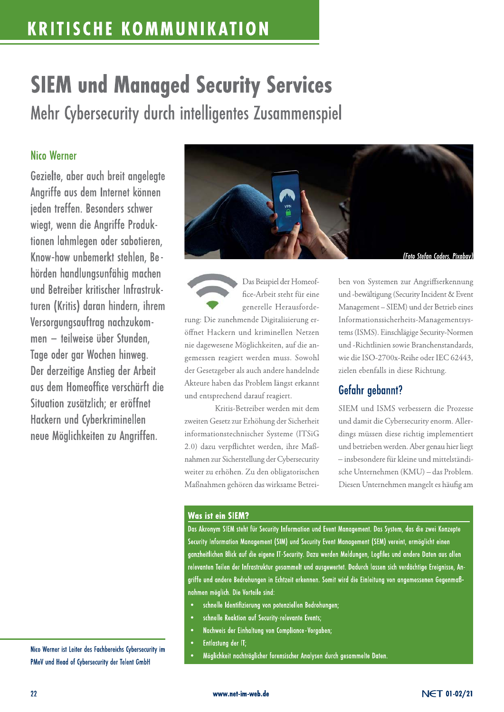## **KRITISCHE KOMMUNIKATION**

# **SIEM und Managed Security Services** Mehr Cybersecurity durch intelligentes Zusammenspiel

### **Nico Werner**

Gezielte, aber auch breit angelegte Angriffe aus dem Internet können jeden treffen. Besonders schwer wiegt, wenn die Angriffe Produktionen lahmlegen oder sabotieren, Know-how unbemerkt stehlen, Behörden handlungsunfähig machen und Betreiber kritischer Infrastrukturen (Kritis) daran hindern, ihrem Versorgungsauftrag nachzukommen – teilweise über Stunden. Tage oder gar Wochen hinweg. Der derzeitige Anstieg der Arbeit aus dem Homeoffice verschärft die Situation zusätzlich: er eröffnet Hackern und Cyberkriminellen neue Möglichkeiten zu Angriffen.



Das Beispiel der Homeoffice-Arbeit steht für eine generelle Herausforderung: Die zunehmende Digitalisierung eröffnet Hackern und kriminellen Netzen nie dagewesene Möglichkeiten, auf die angemessen reagiert werden muss. Sowohl der Gesetzgeber als auch andere handelnde Akteure haben das Problem längst erkannt und entsprechend darauf reagiert.

Kritis-Betreiber werden mit dem zweiten Gesetz zur Erhöhung der Sicherheit informationstechnischer Systeme (ITSiG 2.0) dazu verpflichtet werden, ihre Maßnahmen zur Sicherstellung der Cybersecurity weiter zu erhöhen. Zu den obligatorischen Maßnahmen gehören das wirksame Betreiben von Systemen zur Angriffserkennung und -bewältigung (Security Incident & Event Management-SIEM) und der Betrieb eines Informationssicherheits-Managementsystems (ISMS). Einschlägige Security-Normen und -Richtlinien sowie Branchenstandards, wie die ISO-2700x-Reihe oder IEC 62443, zielen ebenfalls in diese Richtung.

## Gefahr gebannt?

SIEM und ISMS verbessern die Prozesse und damit die Cybersecurity enorm. Allerdings müssen diese richtig implementiert und betrieben werden. Aber genau hier liegt - insbesondere für kleine und mittelständische Unternehmen (KMU) - das Problem. Diesen Unternehmen mangelt es häufig am

#### **Was ist ein SIEM?**

Das Akronym SIEM steht für Security Information und Event Management. Das System, das die zwei Konzepte Security Information Management (SIM) und Security Event Management (SEM) vereint, ermöglicht einen ganzheitlichen Blick auf die eigene IT-Security. Dazu werden Meldungen, Logfiles und andere Daten aus allen relevanten Teilen der Infrastruktur gesammelt und ausgewertet. Dadurch lassen sich verdächtige Ereignisse, Angriffe und andere Bedrohungen in Echtzeit erkennen. Somit wird die Einleitung von angemessenen Gegenmaßnahmen möglich. Die Vorteile sind:

- schnelle Identifizierung von potenziellen Bedrohungen;
- schnelle Reaktion auf Security-relevante Events;
- Nachweis der Einhaltung von Compliance-Vorgaben;
- Entlastung der IT;
- Möglichkeit nachträglicher forensischer Analysen durch gesammelte Daten.